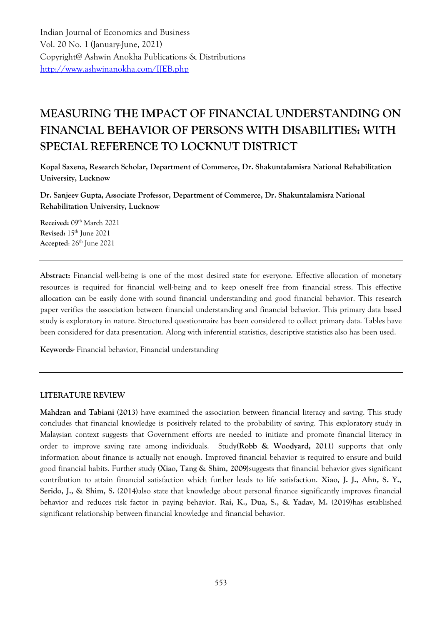Indian Journal of Economics and Business Vol. 20 No. 1 (January-June, 2021) Copyright@ Ashwin Anokha Publications & Distributions <http://www.ashwinanokha.com/IJEB.php>

# **MEASURING THE IMPACT OF FINANCIAL UNDERSTANDING ON FINANCIAL BEHAVIOR OF PERSONS WITH DISABILITIES: WITH SPECIAL REFERENCE TO LOCKNUT DISTRICT**

**Kopal Saxena, Research Scholar, Department of Commerce, Dr. Shakuntalamisra National Rehabilitation University, Lucknow**

**Dr. Sanjeev Gupta, Associate Professor, Department of Commerce, Dr. Shakuntalamisra National Rehabilitation University, Lucknow**

**Received:** 09th March 2021 **Revised:** 15th June 2021 **Accepted:** 26<sup>th</sup> June 2021

**Abstract:** Financial well-being is one of the most desired state for everyone. Effective allocation of monetary resources is required for financial well-being and to keep oneself free from financial stress. This effective allocation can be easily done with sound financial understanding and good financial behavior. This research paper verifies the association between financial understanding and financial behavior. This primary data based study is exploratory in nature. Structured questionnaire has been considered to collect primary data. Tables have been considered for data presentation. Along with inferential statistics, descriptive statistics also has been used.

**Keywords-** Financial behavior, Financial understanding

#### **LITERATURE REVIEW**

**Mahdzan and Tabiani (2013)** have examined the association between financial literacy and saving. This study concludes that financial knowledge is positively related to the probability of saving. This exploratory study in Malaysian context suggests that Government efforts are needed to initiate and promote financial literacy in order to improve saving rate among individuals. Study**(Robb & Woodyard, 2011)** supports that only information about finance is actually not enough. Improved financial behavior is required to ensure and build good financial habits. Further study **(Xiao, Tang & Shim, 2009)**suggests that financial behavior gives significant contribution to attain financial satisfaction which further leads to life satisfaction. **Xiao, J. J., Ahn, S. Y., Serido, J., & Shim, S. (2014)**also state that knowledge about personal finance significantly improves financial behavior and reduces risk factor in paying behavior. **Rai, K., Dua, S., & Yadav, M. (2019)**has established significant relationship between financial knowledge and financial behavior.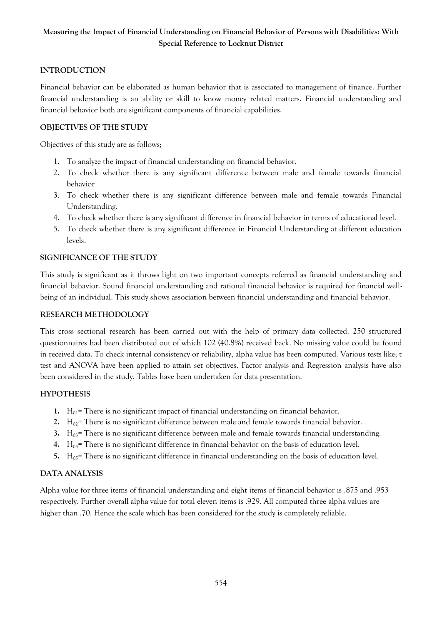# **Measuring the Impact of Financial Understanding on Financial Behavior of Persons with Disabilities: With Special Reference to Locknut District**

# **INTRODUCTION**

Financial behavior can be elaborated as human behavior that is associated to management of finance. Further financial understanding is an ability or skill to know money related matters. Financial understanding and financial behavior both are significant components of financial capabilities.

# **OBJECTIVES OF THE STUDY**

Objectives of this study are as follows;

- 1. To analyze the impact of financial understanding on financial behavior.
- 2. To check whether there is any significant difference between male and female towards financial behavior
- 3. To check whether there is any significant difference between male and female towards Financial Understanding.
- 4. To check whether there is any significant difference in financial behavior in terms of educational level.
- 5. To check whether there is any significant difference in Financial Understanding at different education levels.

### **SIGNIFICANCE OF THE STUDY**

This study is significant as it throws light on two important concepts referred as financial understanding and financial behavior. Sound financial understanding and rational financial behavior is required for financial wellbeing of an individual. This study shows association between financial understanding and financial behavior.

#### **RESEARCH METHODOLOGY**

This cross sectional research has been carried out with the help of primary data collected. 250 structured questionnaires had been distributed out of which 102 (40.8%) received back. No missing value could be found in received data. To check internal consistency or reliability, alpha value has been computed. Various tests like; t test and ANOVA have been applied to attain set objectives. Factor analysis and Regression analysis have also been considered in the study. Tables have been undertaken for data presentation.

### **HYPOTHESIS**

- **1.**  $H_{01}$  = There is no significant impact of financial understanding on financial behavior.
- **2.**  $H_{02}$ = There is no significant difference between male and female towards financial behavior.
- **3.** H03= There is no significant difference between male and female towards financial understanding.
- **4.** H04= There is no significant difference in financial behavior on the basis of education level.
- **5.** H<sub>05</sub>= There is no significant difference in financial understanding on the basis of education level.

### **DATA ANALYSIS**

Alpha value for three items of financial understanding and eight items of financial behavior is .875 and .953 respectively. Further overall alpha value for total eleven items is .929. All computed three alpha values are higher than .70. Hence the scale which has been considered for the study is completely reliable.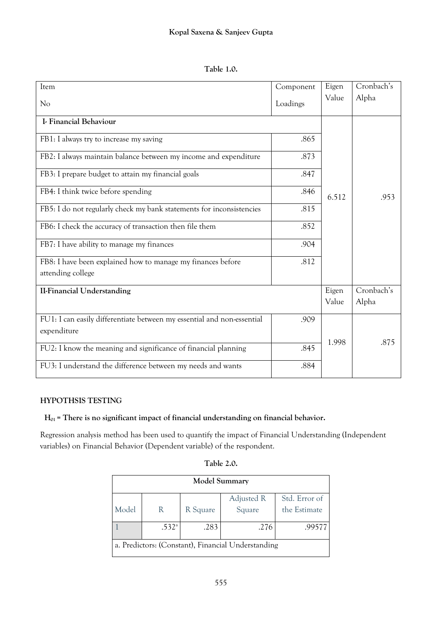| Table 1.0. |
|------------|
|            |

| Item                                                                   | Component | Eigen | Cronbach's |
|------------------------------------------------------------------------|-----------|-------|------------|
| No                                                                     | Loadings  | Value | Alpha      |
| I- Financial Behaviour                                                 |           |       |            |
| FB1: I always try to increase my saving                                | .865      |       |            |
| FB2: I always maintain balance between my income and expenditure       | .873      |       |            |
| FB3: I prepare budget to attain my financial goals                     | .847      |       |            |
| FB4: I think twice before spending                                     | .846      | 6.512 | .953       |
| FB5: I do not regularly check my bank statements for inconsistencies   | .815      |       |            |
| FB6: I check the accuracy of transaction then file them                | .852      |       |            |
| FB7: I have ability to manage my finances                              | .904      |       |            |
| FB8: I have been explained how to manage my finances before            | .812      |       |            |
| attending college                                                      |           |       |            |
| <b>II-Financial Understanding</b>                                      |           | Eigen | Cronbach's |
|                                                                        |           | Value | Alpha      |
| FU1: I can easily differentiate between my essential and non-essential | .909      |       |            |
| expenditure                                                            |           |       |            |
| FU2: I know the meaning and significance of financial planning         | .845      | 1.998 | .875       |
| FU3: I understand the difference between my needs and wants            | .884      |       |            |

## **HYPOTHSIS TESTING**

 **H01 = There is no significant impact of financial understanding on financial behavior.**

Regression analysis method has been used to quantify the impact of Financial Understanding (Independent variables) on Financial Behavior (Dependent variable) of the respondent.

| <b>Model Summary</b>                               |                   |          |            |               |  |
|----------------------------------------------------|-------------------|----------|------------|---------------|--|
|                                                    |                   |          | Adjusted R | Std. Error of |  |
| Model                                              | R                 | R Square | Square     | the Estimate  |  |
|                                                    | .532 <sup>a</sup> | .283     | .276       | .99577        |  |
| a. Predictors: (Constant), Financial Understanding |                   |          |            |               |  |

## **Table 2.0.**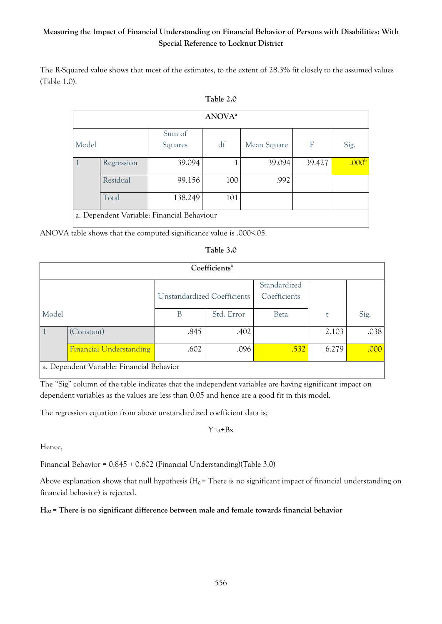# **Measuring the Impact of Financial Understanding on Financial Behavior of Persons with Disabilities: With Special Reference to Locknut District**

The R-Squared value shows that most of the estimates, to the extent of 28.3% fit closely to the assumed values (Table 1.0).

|       | ANOVA <sup>a</sup>                         |                   |     |             |        |                   |  |
|-------|--------------------------------------------|-------------------|-----|-------------|--------|-------------------|--|
| Model |                                            | Sum of<br>Squares | df  | Mean Square | F      | Sig.              |  |
|       | Regression                                 | 39.094            |     | 39.094      | 39.427 | .000 <sup>b</sup> |  |
|       | Residual                                   | 99.156            | 100 | .992        |        |                   |  |
|       | Total                                      | 138.249           | 101 |             |        |                   |  |
|       | a. Dependent Variable: Financial Behaviour |                   |     |             |        |                   |  |

ANOVA table shows that the computed significance value is .000<.05.

#### **Table 3.0**

|       | Coefficients <sup>a</sup>                 |                             |            |                              |       |      |  |  |
|-------|-------------------------------------------|-----------------------------|------------|------------------------------|-------|------|--|--|
|       |                                           | Unstandardized Coefficients |            | Standardized<br>Coefficients |       |      |  |  |
| Model |                                           | В                           | Std. Error | <b>Beta</b>                  | t     | Sig. |  |  |
|       | (Constant)                                | .845                        | .402       |                              | 2.103 | .038 |  |  |
|       | <b>Financial Understanding</b>            | .602                        | .096       | .532                         | 6.279 | .000 |  |  |
|       | a. Dependent Variable: Financial Behavior |                             |            |                              |       |      |  |  |

The "Sig" column of the table indicates that the independent variables are having significant impact on dependent variables as the values are less than 0.05 and hence are a good fit in this model.

The regression equation from above unstandardized coefficient data is;

 $Y=a+Bx$ 

Hence,

Financial Behavior = 0.845 + 0.602 (Financial Understanding)(Table 3.0)

Above explanation shows that null hypothesis ( $H_0$  = There is no significant impact of financial understanding on financial behavior) is rejected.

### **H02 = There is no significant difference between male and female towards financial behavior**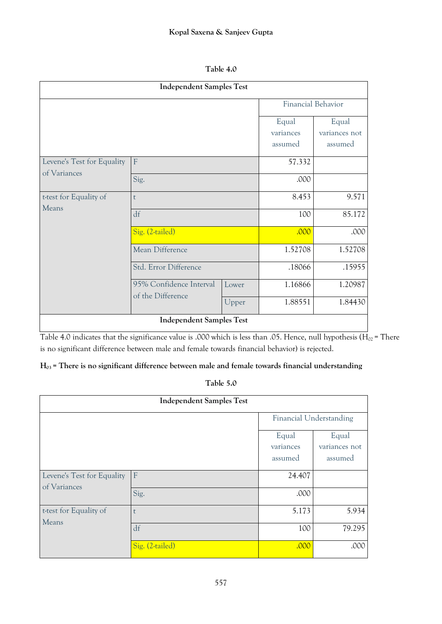| Table 4.0 |
|-----------|
|-----------|

| <b>Independent Samples Test</b>            |                         |       |                               |                                   |  |  |
|--------------------------------------------|-------------------------|-------|-------------------------------|-----------------------------------|--|--|
|                                            | Financial Behavior      |       |                               |                                   |  |  |
|                                            |                         |       | Equal<br>variances<br>assumed | Equal<br>variances not<br>assumed |  |  |
| Levene's Test for Equality<br>of Variances | F                       |       | 57.332                        |                                   |  |  |
|                                            | Sig.                    |       | .000                          |                                   |  |  |
| t-test for Equality of                     | t                       |       | 8.453                         | 9.571                             |  |  |
| Means                                      | df                      | 100   | 85.172                        |                                   |  |  |
|                                            | Sig. (2-tailed)         |       | .000                          | .000                              |  |  |
|                                            | Mean Difference         |       | 1.52708                       | 1.52708                           |  |  |
|                                            | Std. Error Difference   |       | .18066                        | .15955                            |  |  |
|                                            | 95% Confidence Interval | Lower | 1.16866                       | 1.20987                           |  |  |
|                                            | of the Difference       | Upper | 1.88551                       | 1.84430                           |  |  |
| <b>Independent Samples Test</b>            |                         |       |                               |                                   |  |  |

Table 4.0 indicates that the significance value is .000 which is less than .05. Hence, null hypothesis ( $H_{02}$  = There is no significant difference between male and female towards financial behavior**)** is rejected.

# **H03 = There is no significant difference between male and female towards financial understanding**

**Table 5.0**

| <b>Independent Samples Test</b>            |                 |                               |                                   |  |
|--------------------------------------------|-----------------|-------------------------------|-----------------------------------|--|
|                                            |                 | Financial Understanding       |                                   |  |
|                                            |                 | Equal<br>variances<br>assumed | Equal<br>variances not<br>assumed |  |
| Levene's Test for Equality<br>of Variances | $\mathbf{F}$    | 24.407                        |                                   |  |
|                                            | Sig.            | .000                          |                                   |  |
| t-test for Equality of<br>Means            | t               | 5.173                         | 5.934                             |  |
|                                            | df              | 100                           | 79.295                            |  |
|                                            | Sig. (2-tailed) | .000                          | .000                              |  |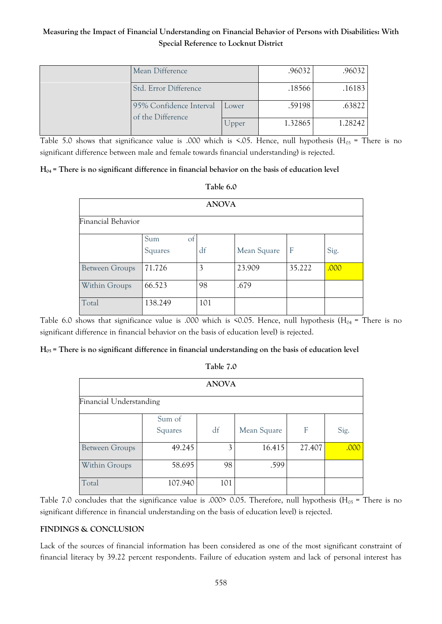# **Measuring the Impact of Financial Understanding on Financial Behavior of Persons with Disabilities: With Special Reference to Locknut District**

|  | Mean Difference                                                       |       | .96032  | .96032  |
|--|-----------------------------------------------------------------------|-------|---------|---------|
|  | Std. Error Difference<br>95% Confidence Interval<br>of the Difference |       | .18566  | .16183  |
|  |                                                                       |       | .59198  | .63822  |
|  |                                                                       | Upper | 1.32865 | 1.28242 |

Table 5.0 shows that significance value is .000 which is <.05. Hence, null hypothesis (H<sub>03</sub> = There is no significant difference between male and female towards financial understanding) is rejected.

### **H04 = There is no significant difference in financial behavior on the basis of education level**

| <b>ANOVA</b>          |                                 |     |             |        |      |  |
|-----------------------|---------------------------------|-----|-------------|--------|------|--|
| Financial Behavior    |                                 |     |             |        |      |  |
|                       | Sum<br><sub>of</sub><br>Squares | df  | Mean Square | F      | Sig. |  |
| <b>Between Groups</b> | 71.726                          | 3   | 23.909      | 35.222 | .000 |  |
| Within Groups         | 66.523                          | 98  | .679        |        |      |  |
| Total                 | 138.249                         | 101 |             |        |      |  |

Table 6.0 shows that significance value is .000 which is <0.05. Hence, null hypothesis (H<sub>04</sub> = There is no significant difference in financial behavior on the basis of education level) is rejected.

### **H05 = There is no significant difference in financial understanding on the basis of education level**

| abie |  |
|------|--|
|      |  |

| <b>ANOVA</b>            |                   |     |             |        |      |  |  |
|-------------------------|-------------------|-----|-------------|--------|------|--|--|
| Financial Understanding |                   |     |             |        |      |  |  |
|                         | Sum of<br>Squares | df  | Mean Square | F      | Sig. |  |  |
| <b>Between Groups</b>   | 49.245            | 3   | 16.415      | 27.407 | .000 |  |  |
| Within Groups           | 58.695            | 98  | .599        |        |      |  |  |
| Total                   | 107.940           | 101 |             |        |      |  |  |

Table 7.0 concludes that the significance value is .000> 0.05. Therefore, null hypothesis ( $H_{05}$  = There is no significant difference in financial understanding on the basis of education level) is rejected.

### **FINDINGS & CONCLUSION**

Lack of the sources of financial information has been considered as one of the most significant constraint of financial literacy by 39.22 percent respondents. Failure of education system and lack of personal interest has